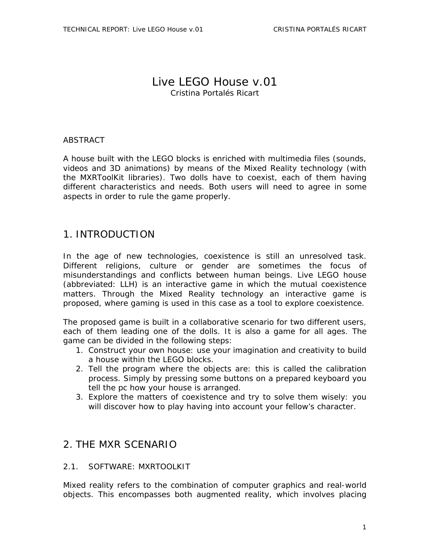## Live LEGO House v.01 Cristina Portalés Ricart

### **ABSTRACT**

A house built with the LEGO blocks is enriched with multimedia files (sounds, videos and 3D animations) by means of the Mixed Reality technology (with the MXRToolKit libraries). Two dolls have to coexist, each of them having different characteristics and needs. Both users will need to agree in some aspects in order to rule the game properly.

## 1. INTRODUCTION

In the age of new technologies, coexistence is still an unresolved task. Different religions, culture or gender are sometimes the focus of misunderstandings and conflicts between human beings. Live LEGO house (abbreviated: LLH) is an interactive game in which the mutual coexistence matters. Through the Mixed Reality technology an interactive game is proposed, where gaming is used in this case as a tool to explore coexistence.

The proposed game is built in a collaborative scenario for two different users, each of them leading one of the dolls. It is also a game for all ages. The game can be divided in the following steps:

- 1. Construct your own house: use your imagination and creativity to build a house within the LEGO blocks.
- 2. Tell the program where the objects are: this is called the calibration process. Simply by pressing some buttons on a prepared keyboard you tell the pc how your house is arranged.
- 3. Explore the matters of coexistence and try to solve them wisely: you will discover how to play having into account your fellow's character.

## 2. THE MXR SCENARIO

### 2.1. SOFTWARE: MXRTOOLKIT

Mixed reality refers to the combination of computer graphics and real-world objects. This encompasses both augmented reality, which involves placing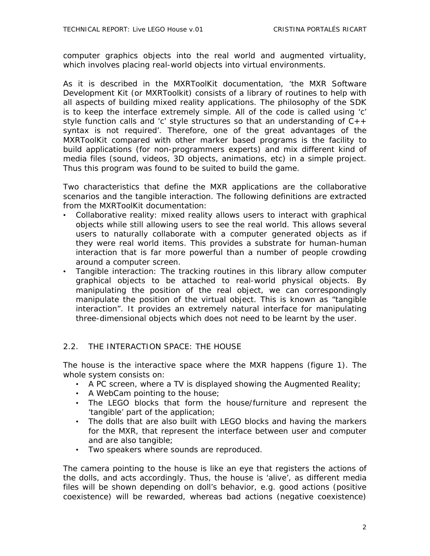computer graphics objects into the real world and augmented virtuality, which involves placing real-world objects into virtual environments.

As it is described in the MXRToolKit documentation, 'the MXR Software Development Kit (or MXRToolkit) consists of a library of routines to help with all aspects of building mixed reality applications. The philosophy of the SDK is to keep the interface extremely simple. All of the code is called using 'c' style function calls and 'c' style structures so that an understanding of  $C_{++}$ syntax is not required'. Therefore, one of the great advantages of the MXRToolKit compared with other marker based programs is the facility to build applications (for non-programmers experts) and mix different kind of media files (sound, videos, 3D objects, animations, etc) in a simple project. Thus this program was found to be suited to build the game.

Two characteristics that define the MXR applications are the collaborative scenarios and the tangible interaction. The following definitions are extracted from the MXRToolKit documentation:

- Collaborative reality: mixed reality allows users to interact with graphical objects while still allowing users to see the real world. This allows several users to naturally collaborate with a computer generated objects as if they were real world items. This provides a substrate for human-human interaction that is far more powerful than a number of people crowding around a computer screen.
- Tangible interaction: The tracking routines in this library allow computer graphical objects to be attached to real-world physical objects. By manipulating the position of the real object, we can correspondingly manipulate the position of the virtual object. This is known as "tangible interaction". It provides an extremely natural interface for manipulating three-dimensional objects which does not need to be learnt by the user.

#### 2.2. THE INTERACTION SPACE: THE HOUSE

The house is the interactive space where the MXR happens (figure 1). The whole system consists on:

- A PC screen, where a TV is displayed showing the Augmented Reality;
- A WebCam pointing to the house;
- The LEGO blocks that form the house/furniture and represent the 'tangible' part of the application;
- The dolls that are also built with LEGO blocks and having the markers for the MXR, that represent the interface between user and computer and are also tangible;
- Two speakers where sounds are reproduced.

The camera pointing to the house is like an eye that registers the actions of the dolls, and acts accordingly. Thus, the house is 'alive', as different media files will be shown depending on doll's behavior, e.g. good actions (positive coexistence) will be rewarded, whereas bad actions (negative coexistence)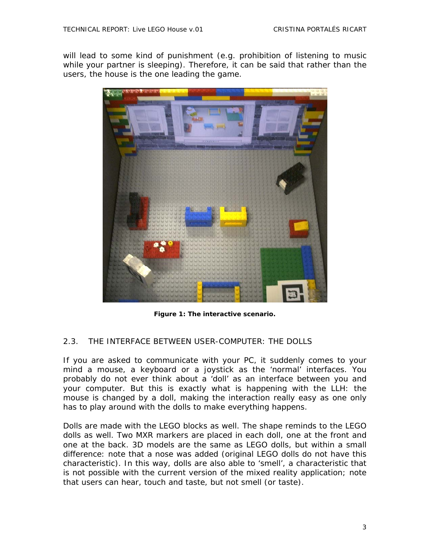will lead to some kind of punishment (e.g. prohibition of listening to music while your partner is sleeping). Therefore, it can be said that rather than the users, the house is the one leading the game.



**Figure 1: The interactive scenario.** 

### 2.3. THE INTERFACE BETWEEN USER-COMPUTER: THE DOLLS

If you are asked to communicate with your PC, it suddenly comes to your mind a mouse, a keyboard or a joystick as the 'normal' interfaces. You probably do not ever think about a 'doll' as an interface between you and your computer. But this is exactly what is happening with the LLH: the mouse is changed by a doll, making the interaction really easy as one only has to play around with the dolls to make everything happens.

Dolls are made with the LEGO blocks as well. The shape reminds to the LEGO dolls as well. Two MXR markers are placed in each doll, one at the front and one at the back. 3D models are the same as LEGO dolls, but within a small difference: note that a nose was added (original LEGO dolls do not have this characteristic). In this way, dolls are also able to 'smell', a characteristic that is not possible with the current version of the mixed reality application; note that users can hear, touch and taste, but not smell (or taste).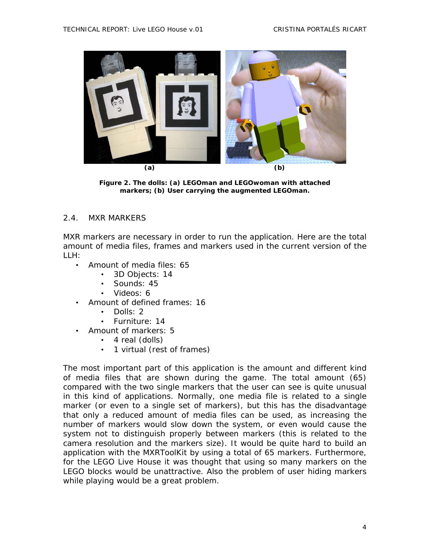

**Figure 2. The dolls: (a) LEGOman and LEGOwoman with attached markers; (b) User carrying the augmented LEGOman.** 

#### 2.4. MXR MARKERS

MXR markers are necessary in order to run the application. Here are the total amount of media files, frames and markers used in the current version of the LLH:

- Amount of media files: 65
	- 3D Objects: 14
	- Sounds: 45
	- Videos: 6
- Amount of defined frames: 16
	- Dolls: 2
	- Furniture: 14
- Amount of markers: 5
	- 4 real (dolls)
	- 1 virtual (rest of frames)

The most important part of this application is the amount and different kind of media files that are shown during the game. The total amount (65) compared with the two single markers that the user can see is quite unusual in this kind of applications. Normally, one media file is related to a single marker (or even to a single set of markers), but this has the disadvantage that only a reduced amount of media files can be used, as increasing the number of markers would slow down the system, or even would cause the system not to distinguish properly between markers (this is related to the camera resolution and the markers size). It would be quite hard to build an application with the MXRToolKit by using a total of 65 markers. Furthermore, for the LEGO Live House it was thought that using so many markers on the LEGO blocks would be unattractive. Also the problem of user hiding markers while playing would be a great problem.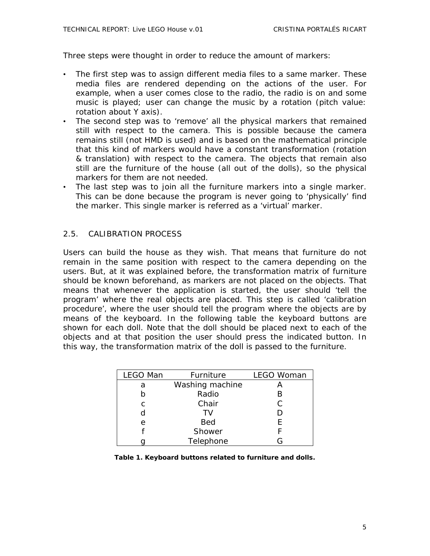Three steps were thought in order to reduce the amount of markers:

- The first step was to assign different media files to a same marker. These media files are rendered depending on the actions of the user. For example, when a user comes close to the radio, the radio is on and some music is played; user can change the music by a rotation (pitch value: rotation about Y axis).
- The second step was to 'remove' all the physical markers that remained still with respect to the camera. This is possible because the camera remains still (not HMD is used) and is based on the mathematical principle that this kind of markers would have a constant transformation (rotation & translation) with respect to the camera. The objects that remain also still are the furniture of the house (all out of the dolls), so the physical markers for them are not needed.
- The last step was to join all the furniture markers into a single marker. This can be done because the program is never going to 'physically' find the marker. This single marker is referred as a 'virtual' marker.

### 2.5. CALIBRATION PROCESS

Users can build the house as they wish. That means that furniture do not remain in the same position with respect to the camera depending on the users. But, at it was explained before, the transformation matrix of furniture should be known beforehand, as markers are not placed on the objects. That means that whenever the application is started, the user should 'tell the program' where the real objects are placed. This step is called 'calibration procedure', where the user should tell the program where the objects are by means of the keyboard. In the following table the keyboard buttons are shown for each doll. Note that the doll should be placed next to each of the objects and at that position the user should press the indicated button. In this way, the transformation matrix of the doll is passed to the furniture.

| LEGO Man | Furniture       | <b>LEGO Woman</b> |
|----------|-----------------|-------------------|
| a        | Washing machine |                   |
| h        | Radio           | B                 |
| C        | Chair           | C                 |
| d        | TV              | D                 |
| е        | <b>Bed</b>      | F                 |
|          | Shower          |                   |
|          | Telephone       | G                 |

**Table 1. Keyboard buttons related to furniture and dolls.**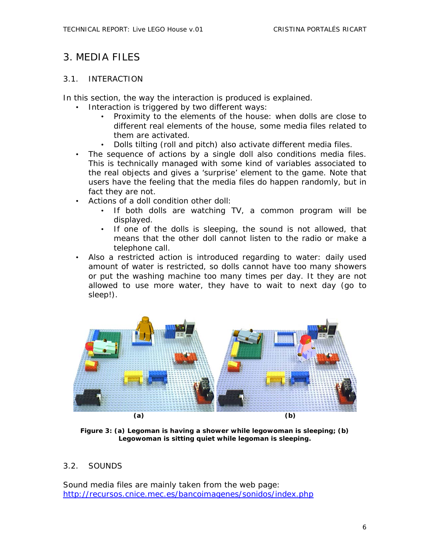## 3. MEDIA FILES

### 3.1. INTERACTION

In this section, the way the interaction is produced is explained.

- Interaction is triggered by two different ways:
	- Proximity to the elements of the house: when dolls are close to different real elements of the house, some media files related to them are activated.
	- Dolls tilting (roll and pitch) also activate different media files.
- The sequence of actions by a single doll also conditions media files. This is technically managed with some kind of variables associated to the real objects and gives a 'surprise' element to the game. Note that users have the feeling that the media files do happen randomly, but in fact they are not.
- Actions of a doll condition other doll:
	- If both dolls are watching TV, a common program will be displayed.
	- If one of the dolls is sleeping, the sound is not allowed, that means that the other doll cannot listen to the radio or make a telephone call.
- Also a restricted action is introduced regarding to water: daily used amount of water is restricted, so dolls cannot have too many showers or put the washing machine too many times per day. It they are not allowed to use more water, they have to wait to next day (go to sleep!).



**Figure 3: (a) Legoman is having a shower while legowoman is sleeping; (b) Legowoman is sitting quiet while legoman is sleeping.** 

### 3.2. SOUNDS

Sound media files are mainly taken from the web page: http://recursos.cnice.mec.es/bancoimagenes/sonidos/index.php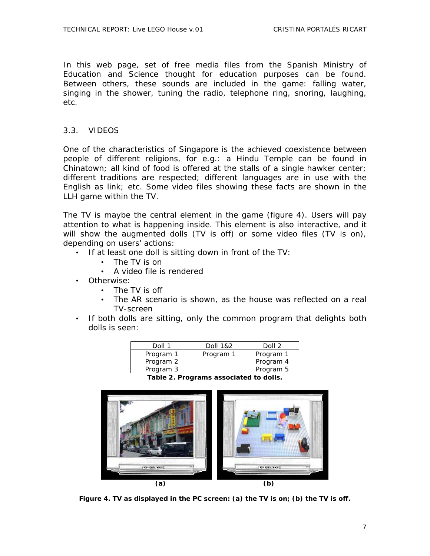In this web page, set of free media files from the Spanish Ministry of Education and Science thought for education purposes can be found. Between others, these sounds are included in the game: falling water, singing in the shower, tuning the radio, telephone ring, snoring, laughing, etc.

#### 3.3. VIDEOS

One of the characteristics of Singapore is the achieved coexistence between people of different religions, for e.g.: a Hindu Temple can be found in Chinatown; all kind of food is offered at the stalls of a single hawker center; different traditions are respected; different languages are in use with the English as link; etc. Some video files showing these facts are shown in the LLH game within the TV.

The TV is maybe the central element in the game (figure 4). Users will pay attention to what is happening inside. This element is also interactive, and it will show the augmented dolls (TV is off) or some video files (TV is on), depending on users' actions:

- If at least one doll is sitting down in front of the TV:
	- The TV is on
	- A video file is rendered
- Otherwise:
	- The TV is off
	- The AR scenario is shown, as the house was reflected on a real TV-screen
- If both dolls are sitting, only the common program that delights both dolls is seen:

| Doll 1    | Doll 1&2  | Doll 2    |
|-----------|-----------|-----------|
| Program 1 | Program 1 | Program 1 |
| Program 2 |           | Program 4 |
| Program 3 |           | Program 5 |





**Figure 4. TV as displayed in the PC screen: (a) the TV is on; (b) the TV is off.**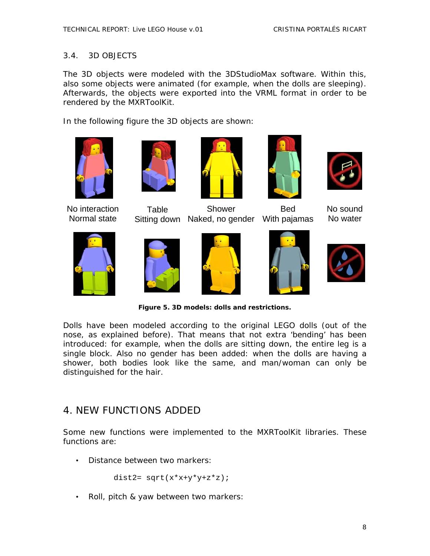### 3.4. 3D OBJECTS

The 3D objects were modeled with the 3DStudioMax software. Within this, also some objects were animated (for example, when the dolls are sleeping). Afterwards, the objects were exported into the VRML format in order to be rendered by the MXRToolKit.

In the following figure the 3D objects are shown:



No interaction Normal state



**Table** 



Sitting down Naked, no gender With pajamas Shower



Bed



No sound No water













**Figure 5. 3D models: dolls and restrictions.** 

Dolls have been modeled according to the original LEGO dolls (out of the nose, as explained before). That means that not extra 'bending' has been introduced: for example, when the dolls are sitting down, the entire leg is a single block. Also no gender has been added: when the dolls are having a shower, both bodies look like the same, and man/woman can only be distinguished for the hair.

# 4. NEW FUNCTIONS ADDED

Some new functions were implemented to the MXRToolKit libraries. These functions are:

• Distance between two markers:

dist2=  $sqrt(x*x+y*y+z*z);$ 

• Roll, pitch & yaw between two markers: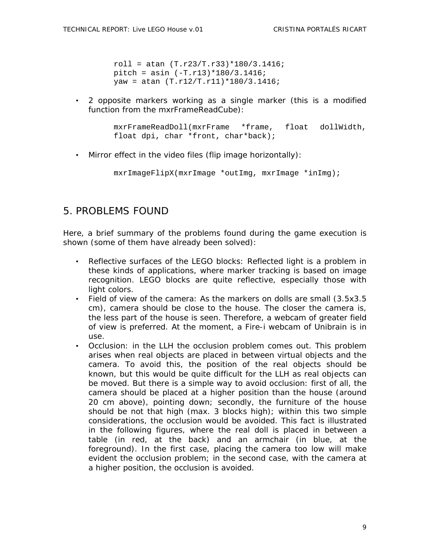roll = atan  $(T.r23/T.r33)*180/3.1416$ ; pitch = asin (-T.r13)\*180/3.1416; yaw = atan (T.r12/T.r11)\*180/3.1416;

• 2 opposite markers working as a single marker (this is a modified function from the mxrFrameReadCube):

```
mxrFrameReadDoll(mxrFrame *frame, float dollWidth, 
float dpi, char *front, char*back);
```
• Mirror effect in the video files (flip image horizontally):

```
mxrImageFlipX(mxrImage *outImg, mxrImage *inImg);
```
## 5. PROBLEMS FOUND

Here, a brief summary of the problems found during the game execution is shown (some of them have already been solved):

- Reflective surfaces of the LEGO blocks: Reflected light is a problem in these kinds of applications, where marker tracking is based on image recognition. LEGO blocks are quite reflective, especially those with light colors.
- Field of view of the camera: As the markers on dolls are small (3.5x3.5 cm), camera should be close to the house. The closer the camera is, the less part of the house is seen. Therefore, a webcam of greater field of view is preferred. At the moment, a Fire-i webcam of Unibrain is in use.
- Occlusion: in the LLH the occlusion problem comes out. This problem arises when real objects are placed in between virtual objects and the camera. To avoid this, the position of the real objects should be known, but this would be quite difficult for the LLH as real objects can be moved. But there is a simple way to avoid occlusion: first of all, the camera should be placed at a higher position than the house (around 20 cm above), pointing down; secondly, the furniture of the house should be not that high (max. 3 blocks high); within this two simple considerations, the occlusion would be avoided. This fact is illustrated in the following figures, where the real doll is placed in between a table (in red, at the back) and an armchair (in blue, at the foreground). In the first case, placing the camera too low will make evident the occlusion problem; in the second case, with the camera at a higher position, the occlusion is avoided.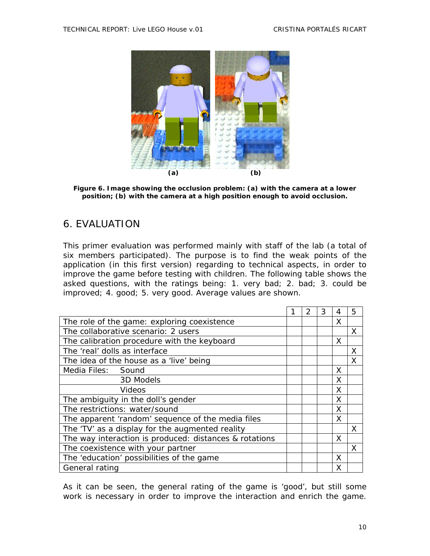

**Figure 6. Image showing the occlusion problem: (a) with the camera at a lower position; (b) with the camera at a high position enough to avoid occlusion.** 

# 6. EVALUATION

This primer evaluation was performed mainly with staff of the lab (a total of six members participated). The purpose is to find the weak points of the application (in this first version) regarding to technical aspects, in order to improve the game before testing with children. The following table shows the asked questions, with the ratings being: 1. very bad; 2. bad; 3. could be improved; 4. good; 5. very good. Average values are shown.

|                                                        |  | 2 | 3 | 4 | 5 |
|--------------------------------------------------------|--|---|---|---|---|
| The role of the game: exploring coexistence            |  |   |   | X |   |
| The collaborative scenario: 2 users                    |  |   |   |   | X |
| The calibration procedure with the keyboard            |  |   |   | X |   |
| The 'real' dolls as interface                          |  |   |   |   | X |
| The idea of the house as a 'live' being                |  |   |   |   | X |
| Media Files: Sound                                     |  |   |   | X |   |
| 3D Models                                              |  |   |   | X |   |
| Videos                                                 |  |   |   | X |   |
| The ambiguity in the doll's gender                     |  |   |   | X |   |
| The restrictions: water/sound                          |  |   |   | X |   |
| The apparent 'random' sequence of the media files      |  |   |   | X |   |
| The 'TV' as a display for the augmented reality        |  |   |   |   | X |
| The way interaction is produced: distances & rotations |  |   |   | X |   |
| The coexistence with your partner                      |  |   |   |   | X |
| The 'education' possibilities of the game              |  |   |   | X |   |
| General rating                                         |  |   |   | X |   |

As it can be seen, the general rating of the game is 'good', but still some work is necessary in order to improve the interaction and enrich the game.